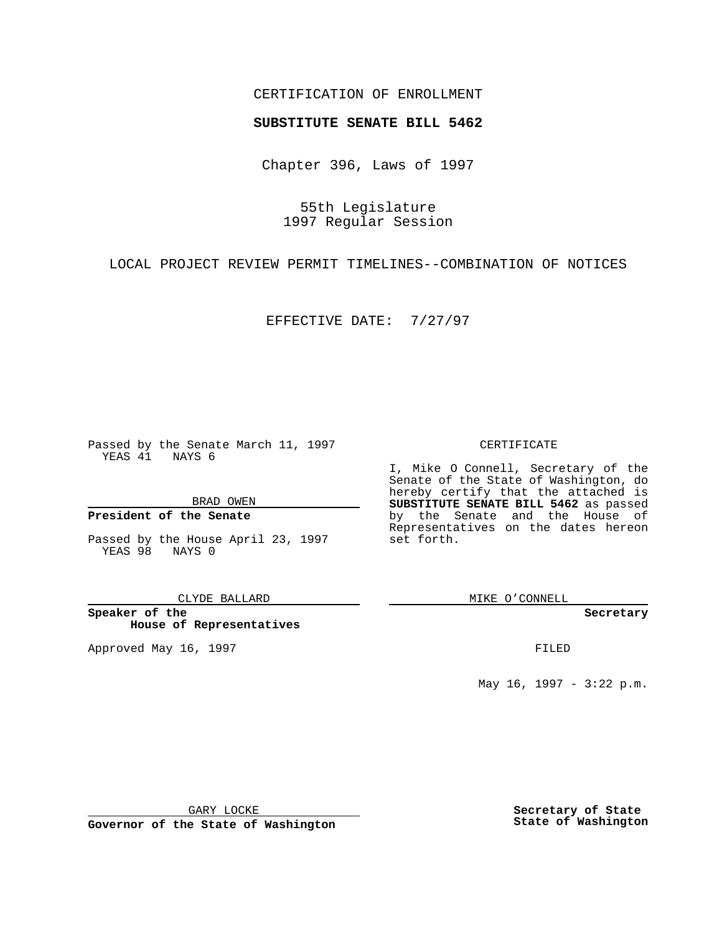## CERTIFICATION OF ENROLLMENT

## **SUBSTITUTE SENATE BILL 5462**

Chapter 396, Laws of 1997

55th Legislature 1997 Regular Session

LOCAL PROJECT REVIEW PERMIT TIMELINES--COMBINATION OF NOTICES

EFFECTIVE DATE: 7/27/97

Passed by the Senate March 11, 1997 YEAS 41 NAYS 6

BRAD OWEN

## **President of the Senate**

Passed by the House April 23, 1997 YEAS 98 NAYS 0

CLYDE BALLARD

**Speaker of the House of Representatives**

Approved May 16, 1997 **FILED** 

CERTIFICATE

I, Mike O Connell, Secretary of the Senate of the State of Washington, do hereby certify that the attached is **SUBSTITUTE SENATE BILL 5462** as passed by the Senate and the House of Representatives on the dates hereon set forth.

MIKE O'CONNELL

**Secretary**

May 16, 1997 - 3:22 p.m.

GARY LOCKE

**Governor of the State of Washington**

**Secretary of State State of Washington**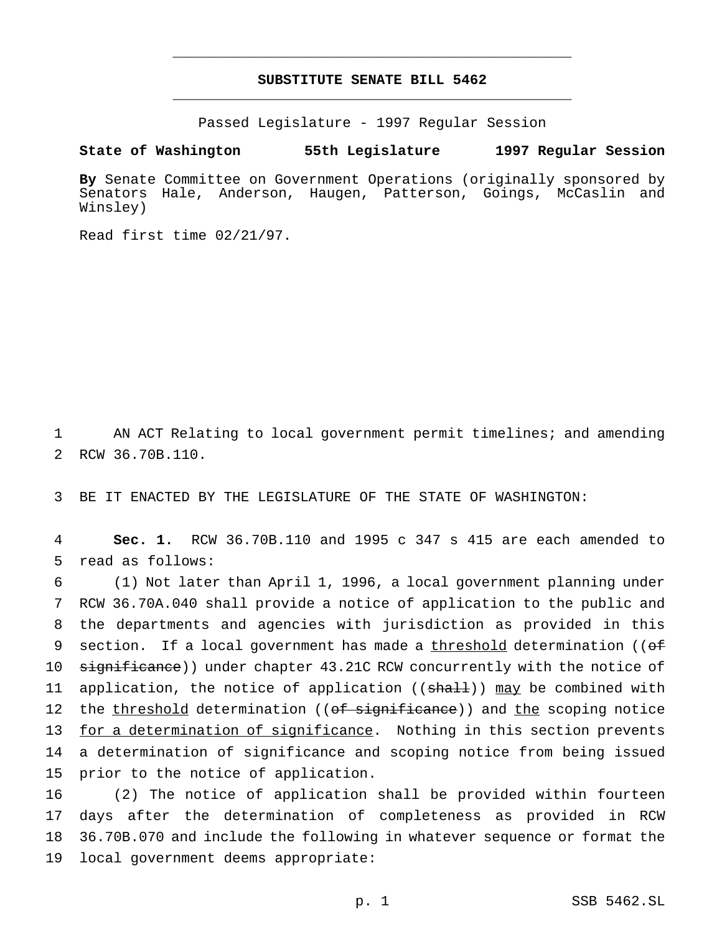## **SUBSTITUTE SENATE BILL 5462** \_\_\_\_\_\_\_\_\_\_\_\_\_\_\_\_\_\_\_\_\_\_\_\_\_\_\_\_\_\_\_\_\_\_\_\_\_\_\_\_\_\_\_\_\_\_\_

\_\_\_\_\_\_\_\_\_\_\_\_\_\_\_\_\_\_\_\_\_\_\_\_\_\_\_\_\_\_\_\_\_\_\_\_\_\_\_\_\_\_\_\_\_\_\_

Passed Legislature - 1997 Regular Session

**State of Washington 55th Legislature 1997 Regular Session**

**By** Senate Committee on Government Operations (originally sponsored by Senators Hale, Anderson, Haugen, Patterson, Goings, McCaslin and Winsley)

Read first time 02/21/97.

1 AN ACT Relating to local government permit timelines; and amending 2 RCW 36.70B.110.

3 BE IT ENACTED BY THE LEGISLATURE OF THE STATE OF WASHINGTON:

4 **Sec. 1.** RCW 36.70B.110 and 1995 c 347 s 415 are each amended to 5 read as follows:

6 (1) Not later than April 1, 1996, a local government planning under 7 RCW 36.70A.040 shall provide a notice of application to the public and 8 the departments and agencies with jurisdiction as provided in this 9 section. If a local government has made a threshold determination ((of 10 significance)) under chapter 43.21C RCW concurrently with the notice of 11 application, the notice of application ((shall)) may be combined with 12 the threshold determination ((of significance)) and the scoping notice 13 for a determination of significance. Nothing in this section prevents 14 a determination of significance and scoping notice from being issued 15 prior to the notice of application.

 (2) The notice of application shall be provided within fourteen days after the determination of completeness as provided in RCW 36.70B.070 and include the following in whatever sequence or format the local government deems appropriate: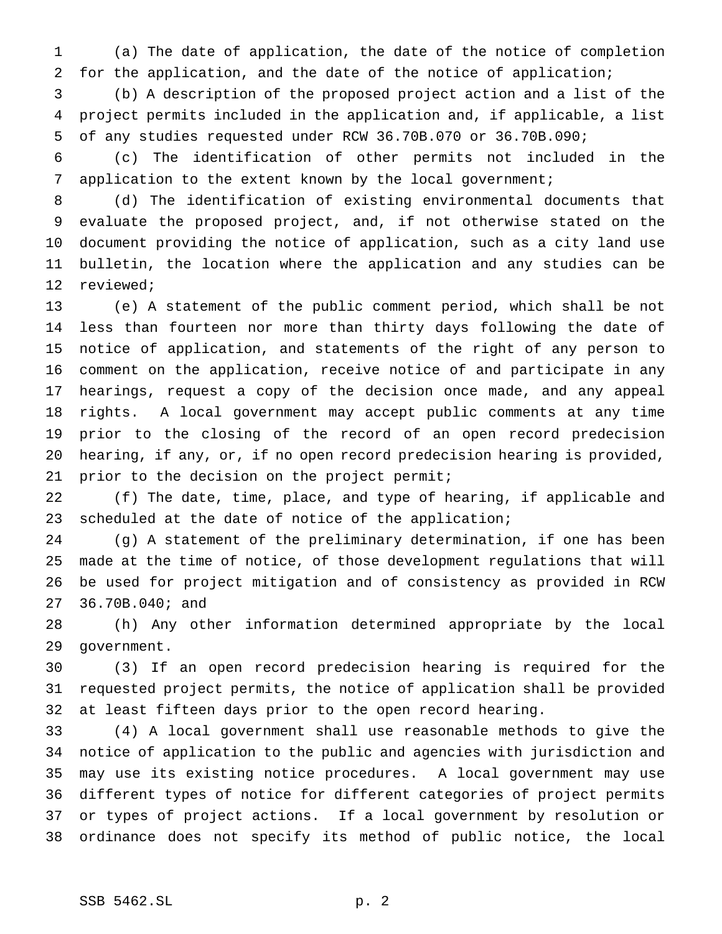(a) The date of application, the date of the notice of completion for the application, and the date of the notice of application;

 (b) A description of the proposed project action and a list of the project permits included in the application and, if applicable, a list of any studies requested under RCW 36.70B.070 or 36.70B.090;

 (c) The identification of other permits not included in the application to the extent known by the local government;

 (d) The identification of existing environmental documents that evaluate the proposed project, and, if not otherwise stated on the document providing the notice of application, such as a city land use bulletin, the location where the application and any studies can be reviewed;

 (e) A statement of the public comment period, which shall be not less than fourteen nor more than thirty days following the date of notice of application, and statements of the right of any person to comment on the application, receive notice of and participate in any hearings, request a copy of the decision once made, and any appeal rights. A local government may accept public comments at any time prior to the closing of the record of an open record predecision hearing, if any, or, if no open record predecision hearing is provided, prior to the decision on the project permit;

 (f) The date, time, place, and type of hearing, if applicable and 23 scheduled at the date of notice of the application;

 (g) A statement of the preliminary determination, if one has been made at the time of notice, of those development regulations that will be used for project mitigation and of consistency as provided in RCW 36.70B.040; and

 (h) Any other information determined appropriate by the local government.

 (3) If an open record predecision hearing is required for the requested project permits, the notice of application shall be provided at least fifteen days prior to the open record hearing.

 (4) A local government shall use reasonable methods to give the notice of application to the public and agencies with jurisdiction and may use its existing notice procedures. A local government may use different types of notice for different categories of project permits or types of project actions. If a local government by resolution or ordinance does not specify its method of public notice, the local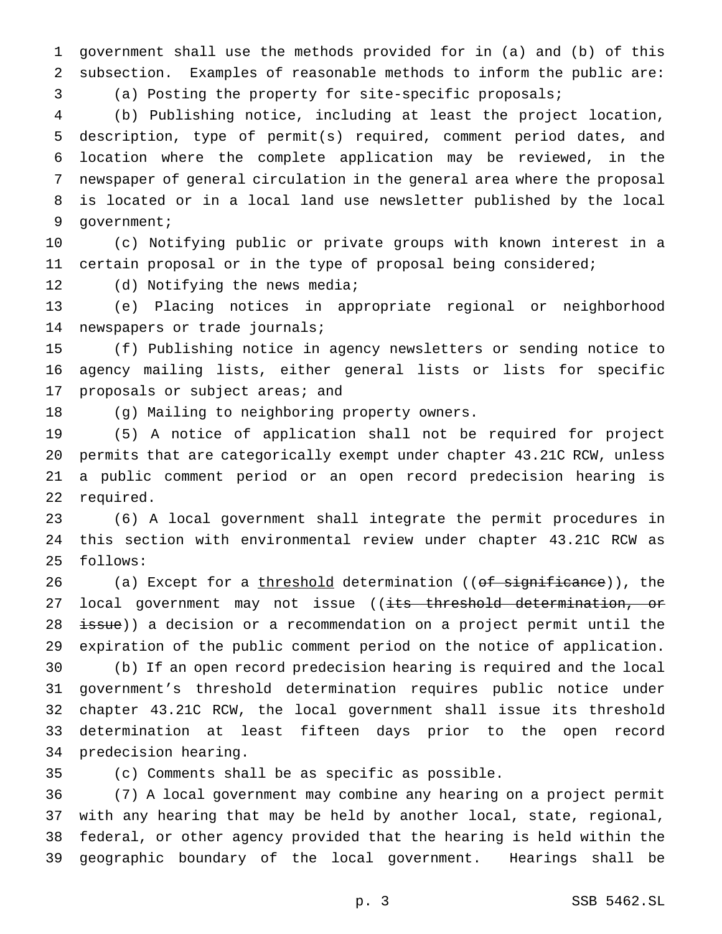government shall use the methods provided for in (a) and (b) of this subsection. Examples of reasonable methods to inform the public are:

(a) Posting the property for site-specific proposals;

 (b) Publishing notice, including at least the project location, description, type of permit(s) required, comment period dates, and location where the complete application may be reviewed, in the newspaper of general circulation in the general area where the proposal is located or in a local land use newsletter published by the local government;

 (c) Notifying public or private groups with known interest in a certain proposal or in the type of proposal being considered;

12 (d) Notifying the news media;

 (e) Placing notices in appropriate regional or neighborhood newspapers or trade journals;

 (f) Publishing notice in agency newsletters or sending notice to agency mailing lists, either general lists or lists for specific 17 proposals or subject areas; and

(g) Mailing to neighboring property owners.

 (5) A notice of application shall not be required for project permits that are categorically exempt under chapter 43.21C RCW, unless a public comment period or an open record predecision hearing is required.

 (6) A local government shall integrate the permit procedures in this section with environmental review under chapter 43.21C RCW as follows:

26 (a) Except for a threshold determination ((of significance)), the 27 local government may not issue ((its threshold determination, or 28 issue)) a decision or a recommendation on a project permit until the expiration of the public comment period on the notice of application.

 (b) If an open record predecision hearing is required and the local government's threshold determination requires public notice under chapter 43.21C RCW, the local government shall issue its threshold determination at least fifteen days prior to the open record predecision hearing.

(c) Comments shall be as specific as possible.

 (7) A local government may combine any hearing on a project permit with any hearing that may be held by another local, state, regional, federal, or other agency provided that the hearing is held within the geographic boundary of the local government. Hearings shall be